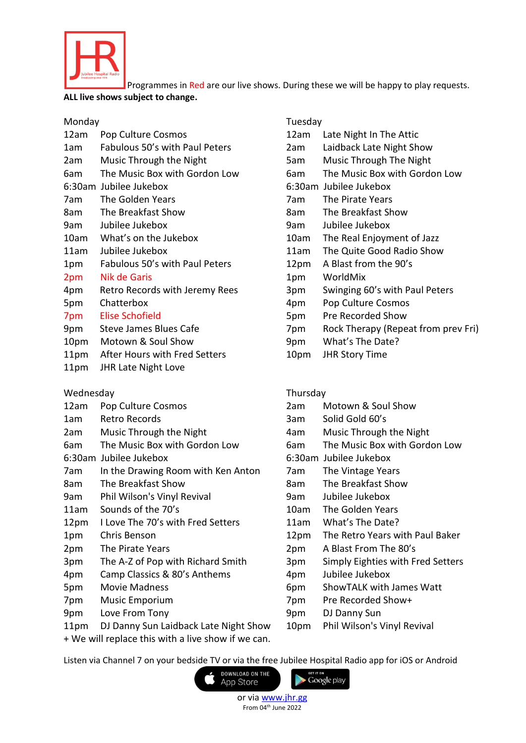

Programmes in Red are our live shows. During these we will be happy to play requests.

### **ALL live shows subject to change.**

# Monday Tuesday

| 12am | Pop Culture Cosmos             |
|------|--------------------------------|
| 1am  | Fabulous 50's with Paul Peters |
| 2am  | Music Through the Night        |
| 6am  | The Music Box with Gordon Low  |
|      | 6:30am Jubilee Jukebox         |
| 7am  | The Golden Years               |
| 8am  | The Breakfast Show             |
| 9am  | Jubilee Jukebox                |
| 10am | What's on the Jukebox          |
| 11am | Jubilee Jukebox                |
| 1pm  | Fabulous 50's with Paul Peters |
| 2pm  | <b>Nik de Garis</b>            |
| 4pm  | Retro Records with Jeremy Rees |
| 5pm  | Chatterbox                     |
| 7pm  | <b>Elise Schofield</b>         |
| 9pm  | Steve James Blues Cafe         |
| 10pm | Motown & Soul Show             |
| 11pm | After Hours with Fred Setters  |
| 11pm | <b>JHR Late Night Love</b>     |

## Wednesday **Thursday** Thursday

- 
- 
- 
- 
- 
- 7am In the Drawing Room with Ken Anton 7am The Vintage Years
- 8am The Breakfast Show 8am The Breakfast Show
- 9am Phil Wilson's Vinyl Revival 9am Jubilee Jukebox
- 
- 12pm I Love The 70's with Fred Setters 11am What's The Date?
- 
- 
- 3pm The A-Z of Pop with Richard Smith 3pm Simply Eighties with Fred Setters
- 4pm Camp Classics & 80's Anthems 4pm Jubilee Jukebox
- 
- 
- 9pm Love From Tony 19pm DJ Danny Sun
- 11pm DJ Danny Sun Laidback Late Night Show 10pm Phil Wilson's Vinyl Revival
- + We will replace this with a live show if we can.

- 12am Late Night In The Attic
- 2am Laidback Late Night Show
- 5am Music Through The Night
- 6am The Music Box with Gordon Low
- 6:30am Jubilee Jukebox 6:30am Jubilee Jukebox
- 7am The Pirate Years
- 8am The Breakfast Show
- 9am Jubilee Jukebox 9am Jubilee Jukebox
- 10am The Real Enjoyment of Jazz
- 11am The Quite Good Radio Show
- 12pm A Blast from the 90's
- 1pm WorldMix
- 3pm Swinging 60's with Paul Peters
- 4pm Pop Culture Cosmos
- 5pm Pre Recorded Show
- 7pm Rock Therapy (Repeat from prev Fri)
- 9pm What's The Date?
- 10pm JHR Story Time
- 
- 12am Pop Culture Cosmos 2am Motown & Soul Show
- 1am Retro Records 3am Solid Gold 60's
- 2am Music Through the Night 4am Music Through the Night
- 6am The Music Box with Gordon Low 6am The Music Box with Gordon Low
- 6:30am Jubilee Jukebox 6:30am Jubilee Jukebox
	-
	-
	-
- 11am Sounds of the 70's 10am The Golden Years
	-
- 1pm Chris Benson 12pm The Retro Years with Paul Baker
- 2pm The Pirate Years 2pm A Blast From The 80's
	-
	-
- 5pm Movie Madness 6pm ShowTALK with James Watt
- 7pm Music Emporium 7pm Pre Recorded Show+
	-

Google play

- 
- 

Listen via Channel 7 on your bedside TV or via the free Jubilee Hospital Radio app for iOS or Android

DOWNLOAD ON THE App Store

> or via [www.jhr.gg](http://www.jhr.gg/) From 04th June 2022